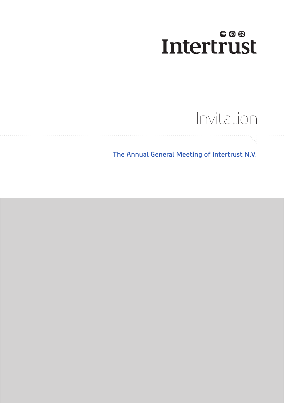### 600 **Intertrust**

## Invitation

đ

 **The Annual General Meeting of Intertrust N.V.**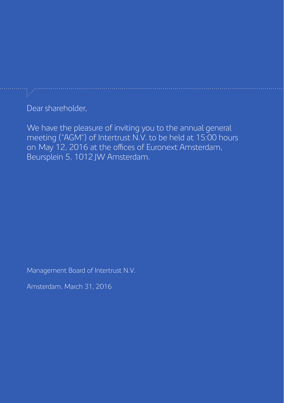Dear shareholder,

We have the pleasure of inviting you to the annual general meeting ("AGM") of Intertrust N.V. to be held at 15:00 hours on May 12, 2016 at the offices of Euronext Amsterdam, Beursplein 5, 1012 JW Amsterdam.

Management Board of Intertrust N.V.

Amsterdam, March 31, 2016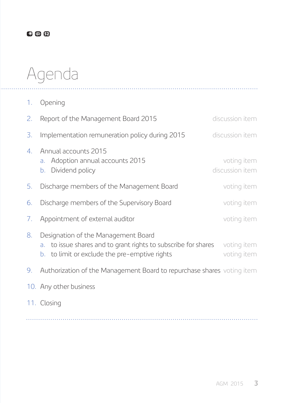### 800

# Agenda

1. Opening

| 2. | Report of the Management Board 2015                                                                                                                       | discussion item                |
|----|-----------------------------------------------------------------------------------------------------------------------------------------------------------|--------------------------------|
| 3. | Implementation remuneration policy during 2015                                                                                                            | discussion item                |
| 4. | Annual accounts 2015<br>Adoption annual accounts 2015<br>a.<br>Dividend policy<br>b.                                                                      | voting item<br>discussion item |
| 5. | Discharge members of the Management Board                                                                                                                 | voting item                    |
| 6. | Discharge members of the Supervisory Board                                                                                                                | voting item                    |
| 7. | Appointment of external auditor                                                                                                                           | voting item                    |
| 8. | Designation of the Management Board<br>to issue shares and to grant rights to subscribe for shares<br>a.<br>b. to limit or exclude the pre-emptive rights | voting item<br>voting item     |
| 9. | Authorization of the Management Board to repurchase shares voting item                                                                                    |                                |
|    | 10. Any other business                                                                                                                                    |                                |
|    | 11. Closing                                                                                                                                               |                                |

. . . . . . . . . . . . .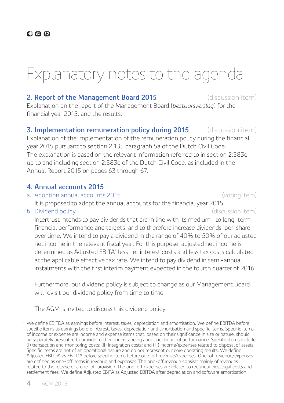### Explanatory notes to the agenda

#### **2. Report of the Management Board 2015** (discussion item)

Explanation on the report of the Management Board (*bestuursverslag*) for the financial year 2015, and the results.

#### **3. Implementation remuneration policy during 2015** (discussion item)

Explanation of the implementation of the remuneration policy during the financial year 2015 pursuant to section 2:135 paragraph 5a of the Dutch Civil Code. The explanation is based on the relevant information referred to in section 2:383c up to and including section 2:383e of the Dutch Civil Code, as included in the Annual Report 2015 on pages 63 through 67.

#### **4. Annual accounts 2015**

a. Adoption annual accounts 2015 (voting item)

It is proposed to adopt the annual accounts for the financial year 2015.

b. Dividend policy (discussion item)

 Intertrust intends to pay dividends that are in line with its medium- to long-term financial performance and targets, and to therefore increase dividends-per-share over time. We intend to pay a dividend in the range of 40% to 50% of our adjusted net income in the relevant fiscal year. For this purpose, adjusted net income is determined as Adjusted EBITA\* less net interest costs and less tax costs calculated at the applicable effective tax rate. We intend to pay dividend in semi-annual instalments with the first interim payment expected in the fourth quarter of 2016.

Furthermore, our dividend policy is subject to change as our Management Board will revisit our dividend policy from time to time.

The AGM is invited to discuss this dividend policy.

We define EBITDA as earnings before interest, taxes, depreciation and amortisation. We define EBITDA before specific items as earnings before interest, taxes, depreciation and amortisation and specific items. Specific items of income or expense are income and expense items that, based on their significance in size or nature, should be separately presented to provide further understanding about our financial performance. Specific items include (i) transaction and monitoring costs; (ii) integration costs; and (iii) income/expenses related to disposal of assets. Specific items are not of an operational nature and do not represent our core operating results. We define Adjusted EBITDA as EBITDA before specific items before one-off revenue/expenses. One-off revenue/expenses are defined as one-off items in revenue and expenses. The one-off revenue consists mainly of revenues related to the release of a one-off provision. The one-off expenses are related to redundancies, legal costs and settlement fees. We define Adjusted EBITA as Adjusted EBITDA after depreciation and software amortisation.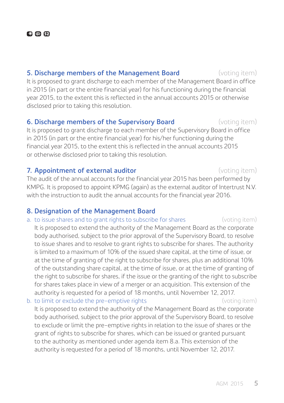#### **5. Discharge members of the Management Board** (voting item)

It is proposed to grant discharge to each member of the Management Board in office in 2015 (in part or the entire financial year) for his functioning during the financial year 2015, to the extent this is reflected in the annual accounts 2015 or otherwise disclosed prior to taking this resolution.

#### **6. Discharge members of the Supervisory Board** (voting item)

It is proposed to grant discharge to each member of the Supervisory Board in office in 2015 (in part or the entire financial year) for his/her functioning during the financial year 2015, to the extent this is reflected in the annual accounts 2015 or otherwise disclosed prior to taking this resolution.

#### **7. Appointment of external auditor and the control of the state of external auditor and the control of the control of the control of the control of the control of the control of the control of the control of the contr**

The audit of the annual accounts for the financial year 2015 has been performed by KMPG. It is proposed to appoint KPMG (again) as the external auditor of Intertrust N.V. with the instruction to audit the annual accounts for the financial year 2016.

#### **8. Designation of the Management Board**

a. to issue shares and to grant rights to subscribe for shares (voting item)

 It is proposed to extend the authority of the Management Board as the corporate body authorised, subject to the prior approval of the Supervisory Board, to resolve to issue shares and to resolve to grant rights to subscribe for shares. The authority is limited to a maximum of 10% of the issued share capital, at the time of issue, or at the time of granting of the right to subscribe for shares, plus an additional 10% of the outstanding share capital, at the time of issue, or at the time of granting of the right to subscribe for shares, if the issue or the granting of the right to subscribe for shares takes place in view of a merger or an acquisition. This extension of the authority is requested for a period of 18 months, until November 12, 2017.

b. to limit or exclude the pre-emptive rights (voting item) It is proposed to extend the authority of the Management Board as the corporate body authorised, subject to the prior approval of the Supervisory Board, to resolve to exclude or limit the pre-emptive rights in relation to the issue of shares or the grant of rights to subscribe for shares, which can be issued or granted pursuant to the authority as mentioned under agenda item 8.a. This extension of the authority is requested for a period of 18 months, until November 12, 2017.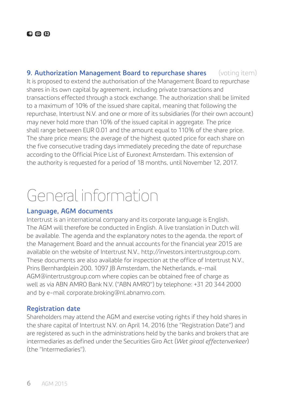**9. Authorization Management Board to repurchase shares** (voting item) It is proposed to extend the authorisation of the Management Board to repurchase shares in its own capital by agreement, including private transactions and transactions effected through a stock exchange. The authorization shall be limited to a maximum of 10% of the issued share capital, meaning that following the repurchase, Intertrust N.V. and one or more of its subsidiaries (for their own account) may never hold more than 10% of the issued capital in aggregate. The price shall range between EUR 0.01 and the amount equal to 110% of the share price. The share price means: the average of the highest quoted price for each share on the five consecutive trading days immediately preceding the date of repurchase according to the Official Price List of Euronext Amsterdam. This extension of the authority is requested for a period of 18 months, until November 12, 2017.

## General information

#### **Language, AGM documents**

Intertrust is an international company and its corporate language is English. The AGM will therefore be conducted in English. A live translation in Dutch will be available. The agenda and the explanatory notes to the agenda, the report of the Management Board and the annual accounts for the financial year 2015 are available on the website of Intertrust N.V., http://investors.intertrustgroup.com. These documents are also available for inspection at the office of Intertrust N.V., Prins Bernhardplein 200, 1097 JB Amsterdam, the Netherlands, e-mail AGM@intertrustgroup.com where copies can be obtained free of charge as well as via ABN AMRO Bank N.V. ("ABN AMRO") by telephone: +31 20 344 2000 and by e-mail corporate.broking@nl.abnamro.com.

### **Registration date**

Shareholders may attend the AGM and exercise voting rights if they hold shares in the share capital of Intertrust N.V. on April 14, 2016 (the "Registration Date") and are registered as such in the administrations held by the banks and brokers that are intermediaries as defined under the Securities Giro Act (*Wet giraal effectenverkeer*) (the "Intermediaries").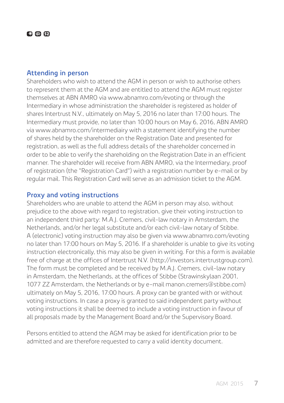#### **Attending in person**

Shareholders who wish to attend the AGM in person or wish to authorise others to represent them at the AGM and are entitled to attend the AGM must register themselves at ABN AMRO via www.abnamro.com/evoting or through the Intermediary in whose administration the shareholder is registered as holder of shares Intertrust N.V., ultimately on May 5, 2016 no later than 17:00 hours. The Intermediary must provide, no later than 10:00 hours on May 6, 2016, ABN AMRO via www.abnamro.com/intermediairy with a statement identifying the number of shares held by the shareholder on the Registration Date and presented for registration, as well as the full address details of the shareholder concerned in order to be able to verify the shareholding on the Registration Date in an efficient manner. The shareholder will receive from ABN AMRO, via the Intermediary, proof of registration (the "Registration Card") with a registration number by e-mail or by regular mail. This Registration Card will serve as an admission ticket to the AGM.

#### **Proxy and voting instructions**

Shareholders who are unable to attend the AGM in person may also, without prejudice to the above with regard to registration, give their voting instruction to an independent third party: M.A.J. Cremers, civil-law notary in Amsterdam, the Netherlands, and/or her legal substitute and/or each civil-law notary of Stibbe. A (electronic) voting instruction may also be given via www.abnamro.com/evoting no later than 17:00 hours on May 5, 2016. If a shareholder is unable to give its voting instruction electronically, this may also be given in writing. For this a form is available free of charge at the offices of Intertrust N.V. (http://investors.intertrustgroup.com). The form must be completed and be received by M.A.J. Cremers, civil-law notary in Amsterdam, the Netherlands, at the offices of Stibbe (Strawinskylaan 2001, 1077 ZZ Amsterdam, the Netherlands or by e-mail manon.cremers@stibbe.com) ultimately on May 5, 2016, 17:00 hours. A proxy can be granted with or without voting instructions. In case a proxy is granted to said independent party without voting instructions it shall be deemed to include a voting instruction in favour of all proposals made by the Management Board and/or the Supervisory Board.

Persons entitled to attend the AGM may be asked for identification prior to be admitted and are therefore requested to carry a valid identity document.